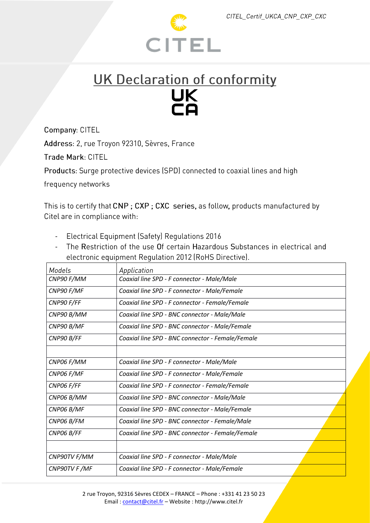

## UK Declaration of conformity UK<br>CA

Company: CITEL

Address: 2, rue Troyon 92310, Sèvres, France

Trade Mark: CITEL

Products: Surge protective devices (SPD) connected to coaxial lines and high

frequency networks

This is to certify that CNP; CXP; CXC series, as follow, products manufactured by Citel are in compliance with:

- Electrical Equipment (Safety) Requlations 2016
- The Restriction of the use Of certain Hazardous Substances in electrical and electronic equipment Regulation 2012 (RoHS Directive).

| Models       | Application                                      |
|--------------|--------------------------------------------------|
| CNP90 F/MM   | Coaxial line SPD - F connector - Male/Male       |
| CNP90 F/MF   | Coaxial line SPD - F connector - Male/Female     |
| CNP90 F/FF   | Coaxial line SPD - F connector - Female/Female   |
| CNP90 B/MM   | Coaxial line SPD - BNC connector - Male/Male     |
| CNP90 B/MF   | Coaxial line SPD - BNC connector - Male/Female   |
| CNP90 B/FF   | Coaxial line SPD - BNC connector - Female/Female |
|              |                                                  |
| CNP06 F/MM   | Coaxial line SPD - F connector - Male/Male       |
| CNP06 F/MF   | Coaxial line SPD - F connector - Male/Female     |
| CNP06 F/FF   | Coaxial line SPD - F connector - Female/Female   |
| CNP06 B/MM   | Coaxial line SPD - BNC connector - Male/Male     |
| CNP06 B/MF   | Coaxial line SPD - BNC connector - Male/Female   |
| CNP06 B/FM   | Coaxial line SPD - BNC connector - Female/Male   |
| CNP06 B/FF   | Coaxial line SPD - BNC connector - Female/Female |
|              |                                                  |
| CNP90TV F/MM | Coaxial line SPD - F connector - Male/Male       |
| CNP90TV F/MF | Coaxial line SPD - F connector - Male/Female     |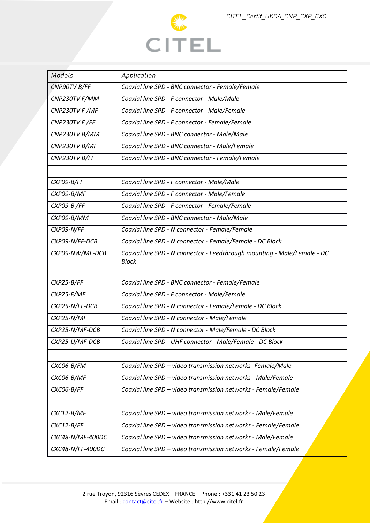

| Models           | Application                                                                              |
|------------------|------------------------------------------------------------------------------------------|
| CNP90TV B/FF     | Coaxial line SPD - BNC connector - Female/Female                                         |
| CNP230TV F/MM    | Coaxial line SPD - F connector - Male/Male                                               |
| CNP230TV F /MF   | Coaxial line SPD - F connector - Male/Female                                             |
| CNP230TV F/FF    | Coaxial line SPD - F connector - Female/Female                                           |
| CNP230TV B/MM    | Coaxial line SPD - BNC connector - Male/Male                                             |
| CNP230TV B/MF    | Coaxial line SPD - BNC connector - Male/Female                                           |
| CNP230TV B/FF    | Coaxial line SPD - BNC connector - Female/Female                                         |
|                  |                                                                                          |
| CXP09-B/FF       | Coaxial line SPD - F connector - Male/Male                                               |
| CXP09-B/MF       | Coaxial line SPD - F connector - Male/Female                                             |
| CXP09-B/FF       | Coaxial line SPD - F connector - Female/Female                                           |
| CXP09-B/MM       | Coaxial line SPD - BNC connector - Male/Male                                             |
| CXP09-N/FF       | Coaxial line SPD - N connector - Female/Female                                           |
| CXP09-N/FF-DCB   | Coaxial line SPD - N connector - Female/Female - DC Block                                |
| CXP09-NW/MF-DCB  | Coaxial line SPD - N connector - Feedthrough mounting - Male/Female - DC<br><b>Block</b> |
|                  |                                                                                          |
| CXP25-B/FF       | Coaxial line SPD - BNC connector - Female/Female                                         |
| CXP25-F/MF       | Coaxial line SPD - F connector - Male/Female                                             |
| CXP25-N/FF-DCB   | Coaxial line SPD - N connector - Female/Female - DC Block                                |
| CXP25-N/MF       | Coaxial line SPD - N connector - Male/Female                                             |
| CXP25-N/MF-DCB   | Coaxial line SPD - N connector - Male/Female - DC Block                                  |
| CXP25-U/MF-DCB   | Coaxial line SPD - UHF connector - Male/Female - DC Block                                |
|                  |                                                                                          |
| CXC06-B/FM       | Coaxial line SPD - video transmission networks -Female/Male                              |
| CXC06-B/MF       | Coaxial line SPD - video transmission networks - Male/Female                             |
| CXC06-B/FF       | Coaxial line SPD - video transmission networks - Female/Female                           |
|                  |                                                                                          |
| CXC12-B/MF       | Coaxial line SPD - video transmission networks - Male/Female                             |
| CXC12-B/FF       | Coaxial line SPD - video transmission networks - Female/Female                           |
| CXC48-N/MF-400DC | Coaxial line SPD - video transmission networks - Male/Female                             |
| CXC48-N/FF-400DC | Coaxial line SPD - video transmission networks - Female/Female                           |